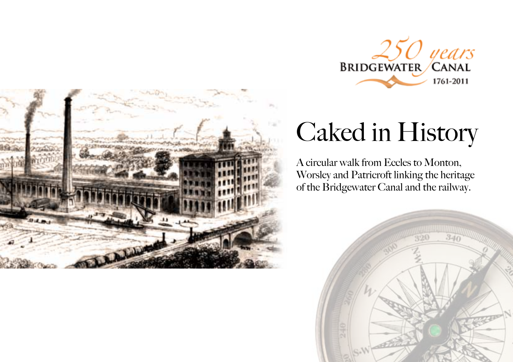



# Caked in History

A circular walk from Eccles to Monton, Worsley and Patricroft linking the heritage of the Bridgewater Canal and the railway.

 $\sqrt{d}$ 

 $340$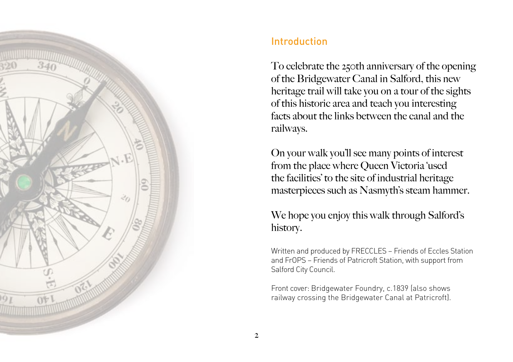

# Introduction

To celebrate the 250th anniversary of the opening of the Bridgewater Canal in Salford, this new heritage trail will take you on a tour of the sights of this historic area and teach you interesting facts about the links between the canal and the railways.

On your walk you'll see many points of interest from the place where Queen Victoria 'used the facilities' to the site of industrial heritage masterpieces such as Nasmyth's steam hammer.

We hope you enjoy this walk through Salford's history.

Written and produced by FRECCLES – Friends of Eccles Station and FrOPS – Friends of Patricroft Station, with support from Salford City Council.

Front cover: Bridgewater Foundry, c.1839 (also shows railway crossing the Bridgewater Canal at Patricroft).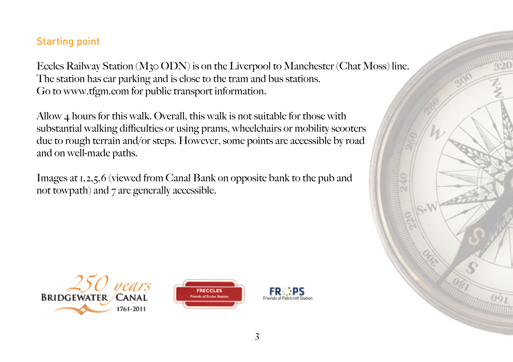## Starting point

Eccles Railway Station (M30 ODN) is on the Liverpool to Manchester (Chat Moss) line. The station has car parking and is close to the tram and bus stations. Go to www.tfgm.com for public transport information.

Allow 4 hours for this walk. Overall, this walk is not suitable for those with substantial walking difficulties or using prams, wheelchairs or mobility scooters due to rough terrain and/or steps. However, some points are accessible by road and on well-made paths.

Images at 1,2,5,6 (viewed from Canal Bank on opposite bank to the pub and not towpath) and 7 are generally accessible.

nears **BRIDGEWATER CANAL** 1761-2011



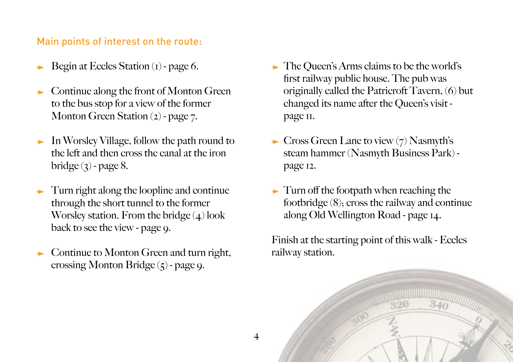### Main points of interest on the route:

- Begin at Eccles Station (1) page 6.
- Continue along the front of Monton Green to the bus stop for a view of the former Monton Green Station (2) - page 7.
- In Worsley Village, follow the path round to the left and then cross the canal at the iron bridge  $(3)$  - page 8.
- Turn right along the loopline and continue through the short tunnel to the former Worsley station. From the bridge  $(4)$  look back to see the view - page 9.
- Continue to Monton Green and turn right, crossing Monton Bridge  $(5)$  - page 9.
- The Queen's Arms claims to be the world's first railway public house. The pub was originally called the Patricroft Tavern, (6) but changed its name after the Queen's visit page 11.
- $\rightarrow$  Cross Green Lane to view (7) Nasmyth's steam hammer (Nasmyth Business Park) page 12.
- $\rightarrow$  Turn off the footpath when reaching the footbridge (8); cross the railway and continue along Old Wellington Road - page 14.

Finish at the starting point of this walk - Eccles railway station.

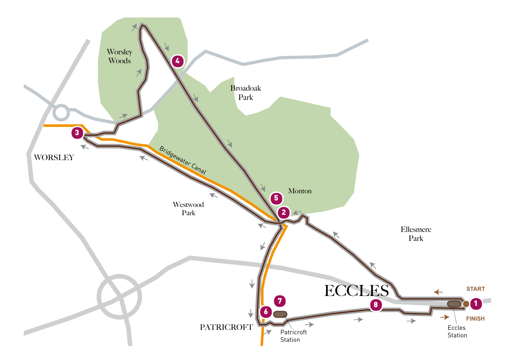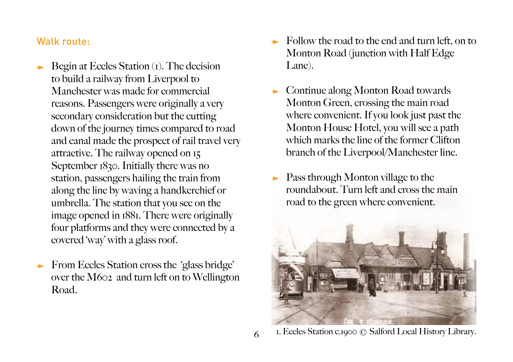#### Walk route:

- Begin at Eccles Station (1). The decision to build a railway from Liverpool to Manchester was made for commercial reasons. Passengers were originally a very secondary consideration but the cutting down of the journey times compared to road and canal made the prospect of rail travel very attractive. The railway opened on 15 September 1830. Initially there was no station, passengers hailing the train from along the line by waving a handkerchief or umbrella. The station that you see on the image opened in 1881. There were originally four platforms and they were connected by a covered 'way' with a glass roof.
- From Eccles Station cross the 'glass bridge'  $\qquad \qquad \rightarrow$ over the M602 and turn left on to Wellington Road.
- Follow the road to the end and turn left, on to Monton Road (junction with Half Edge Lane).
- Continue along Monton Road towards Monton Green, crossing the main road where convenient. If you look just past the Monton House Hotel, you will see a path which marks the line of the former Clifton branch of the Liverpool/Manchester line.
- Pass through Monton village to the roundabout. Turn left and cross the main road to the green where convenient.



1. Eccles Station c.1900 © Salford Local History Library.

6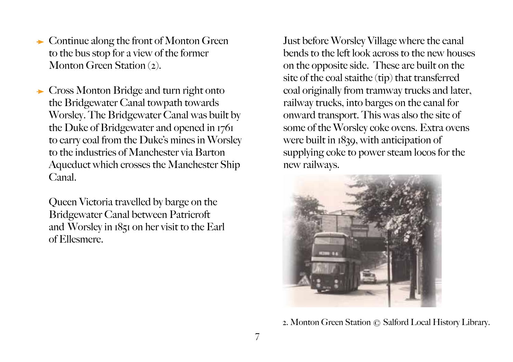- $\rightarrow$  Continue along the front of Monton Green to the bus stop for a view of the former Monton Green Station (2).
- ► Cross Monton Bridge and turn right onto the Bridgewater Canal towpath towards Worsley. The Bridgewater Canal was built by the Duke of Bridgewater and opened in 1761 to carry coal from the Duke's mines in Worsley to the industries of Manchester via Barton Aqueduct which crosses the Manchester Ship Canal.

Queen Victoria travelled by barge on the Bridgewater Canal between Patricroft and Worsley in 1851 on her visit to the Earl of Ellesmere.

Just before Worsley Village where the canal bends to the left look across to the new houses on the opposite side. These are built on the site of the coal staithe (tip) that transferred coal originally from tramway trucks and later, railway trucks, into barges on the canal for onward transport. This was also the site of some of the Worsley coke ovens. Extra ovens were built in 1839, with anticipation of supplying coke to power steam locos for the new railways.



2. Monton Green Station © Salford Local History Library.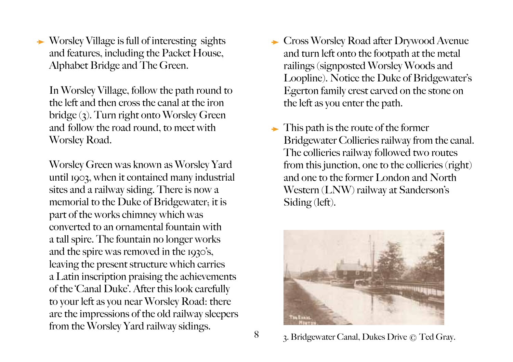$\rightarrow$  Worsley Village is full of interesting sights and features, including the Packet House, Alphabet Bridge and The Green.

In Worsley Village, follow the path round to the left and then cross the canal at the iron bridge (3). Turn right onto Worsley Green and follow the road round, to meet with Worsley Road.

Worsley Green was known as Worsley Yard until 1903, when it contained many industrial sites and a railway siding. There is now a memorial to the Duke of Bridgewater; it is part of the works chimney which was converted to an ornamental fountain with a tall spire. The fountain no longer works and the spire was removed in the 1930's, leaving the present structure which carries a Latin inscription praising the achievements of the 'Canal Duke'. After this look carefully to your left as you near Worsley Road: there are the impressions of the old railway sleepers from the Worsley Yard railway sidings.

- ► Cross Worsley Road after Drywood Avenue and turn left onto the footpath at the metal railings (signposted Worsley Woods and Loopline). Notice the Duke of Bridgewater's Egerton family crest carved on the stone on the left as you enter the path.
- $\rightarrow$  This path is the route of the former Bridgewater Collieries railway from the canal. The collieries railway followed two routes from this junction, one to the collieries (right) and one to the former London and North Western (LNW) railway at Sanderson's Siding (left).



3. Bridgewater Canal, Dukes Drive © Ted Gray.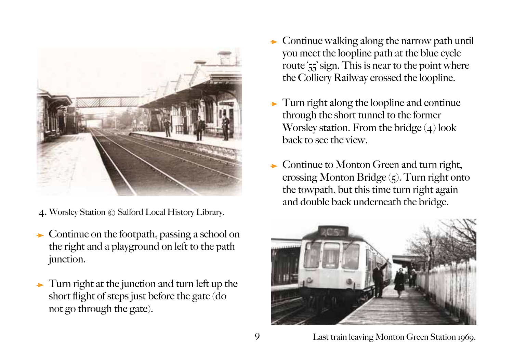

- 4. Worsley Station © Salford Local History Library.
- $\rightarrow$  Continue on the footpath, passing a school on the right and a playground on left to the path junction.
- $\rightarrow$  Turn right at the junction and turn left up the short flight of steps just before the gate (do not go through the gate).
- $\rightarrow$  Continue walking along the narrow path until you meet the loopline path at the blue cycle route '55' sign. This is near to the point where the Colliery Railway crossed the loopline.
- Turn right along the loopline and continue through the short tunnel to the former Worsley station. From the bridge  $(4)$  look back to see the view.
- $\rightarrow$  Continue to Monton Green and turn right, crossing Monton Bridge  $(5)$ . Turn right onto the towpath, but this time turn right again and double back underneath the bridge.



Last train leaving Monton Green Station 1969.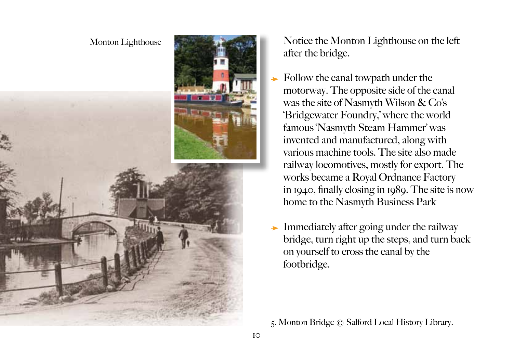#### Monton Lighthouse



Notice the Monton Lighthouse on the left after the bridge.

- $\rightarrow$  Follow the canal towpath under the motorway. The opposite side of the canal was the site of Nasmyth Wilson & Co's 'Bridgewater Foundry,' where the world famous 'Nasmyth Steam Hammer' was invented and manufactured, along with various machine tools. The site also made railway locomotives, mostly for export. The works became a Royal Ordnance Factory in 1940, finally closing in 1989. The site is now home to the Nasmyth Business Park
- Immediately after going under the railway bridge, turn right up the steps, and turn back on yourself to cross the canal by the footbridge.

5. Monton Bridge © Salford Local History Library.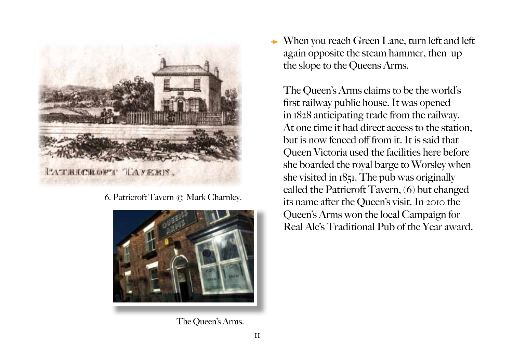

6. Patricroft Tavern © Mark Charnley.



The Queen's Arms.

When you reach Green Lane, turn left and left again opposite the steam hammer, then up the slope to the Queens Arms.

The Queen's Arms claims to be the world's first railway public house. It was opened in 1828 anticipating trade from the railway. At one time it had direct access to the station but is now fenced off from it. It is said that Queen Victoria used the facilities here before she boarded the royal barge to Worsley when she visited in 1851. The pub was originally called the Patricroft Tavern, (6) but changed its name after the Queen's visit. In 2010 the Queen's Arms won the local Campaign for Real Ale's Traditional Pub of the Year award.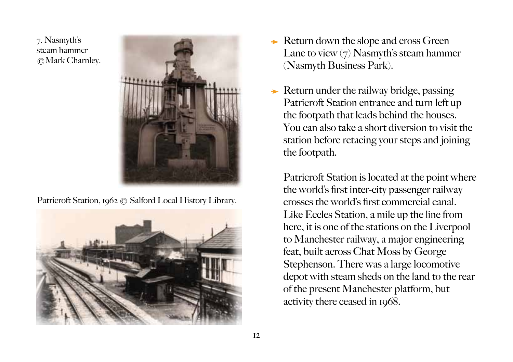7. Nasmyth's steam hammer ©Mark Charnley.



Patricroft Station, 1962 © Salford Local History Library.



- $\rightarrow$  Return down the slope and cross Green Lane to view  $(7)$  Nasmyth's steam hammer (Nasmyth Business Park).
- $\rightarrow$  Return under the railway bridge, passing Patricroft Station entrance and turn left up the footpath that leads behind the houses. You can also take a short diversion to visit the station before retacing your steps and joining the footpath.

Patricroft Station is located at the point where the world's first inter-city passenger railway crosses the world's first commercial canal. Like Eccles Station, a mile up the line from here, it is one of the stations on the Liverpool to Manchester railway, a major engineering feat, built across Chat Moss by George Stephenson. There was a large locomotive depot with steam sheds on the land to the rear of the present Manchester platform, but activity there ceased in 1968.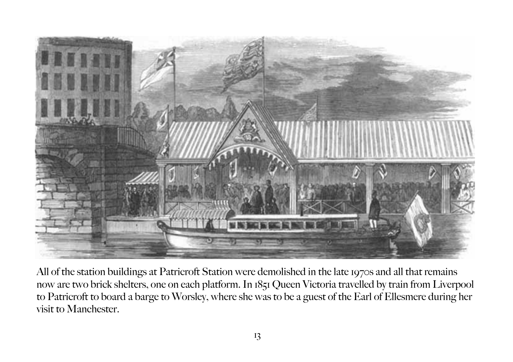

All of the station buildings at Patricroft Station were demolished in the late 1970s and all that remains now are two brick shelters, one on each platform. In 1851 Queen Victoria travelled by train from Liverpool to Patricroft to board a barge to Worsley, where she was to be a guest of the Earl of Ellesmere during her visit to Manchester.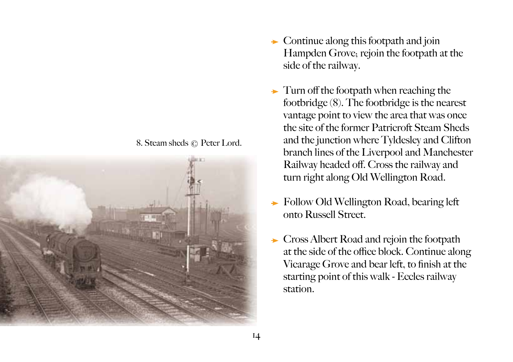



- $\rightarrow$  Continue along this footpath and join Hampden Grove; rejoin the footpath at the side of the railway.
- $\rightarrow$  Turn off the footpath when reaching the footbridge (8). The footbridge is the nearest vantage point to view the area that was once the site of the former Patricroft Steam Sheds and the junction where Tyldesley and Clifton branch lines of the Liverpool and Manchester Railway headed off. Cross the railway and turn right along Old Wellington Road.
- **Follow Old Wellington Road, bearing left** onto Russell Street.
- Cross Albert Road and rejoin the footpath at the side of the office block. Continue along Vicarage Grove and bear left, to finish at the starting point of this walk - Eccles railway station.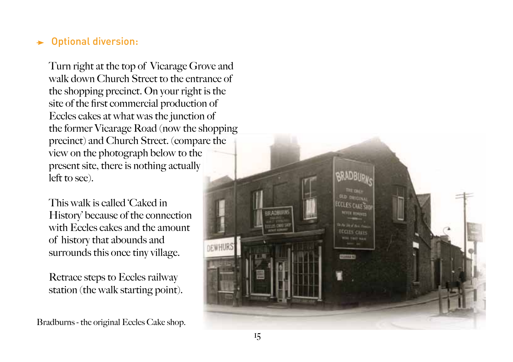#### Optional diversion:  $\rightarrow$

Turn right at the top of Vicarage Grove and walk down Church Street to the entrance of the shopping precinct. On your right is the site of the first commercial production of Eccles cakes at what was the junction of the former Vicarage Road (now the shopping precinct) and Church Street. (compare the view on the photograph below to the present site, there is nothing actually left to see).

This walk is called 'Caked in History' because of the connection with Eccles cakes and the amount of history that abounds and surrounds this once tiny village.

Retrace steps to Eccles railway station (the walk starting point).

Bradburns - the original Eccles Cake shop.